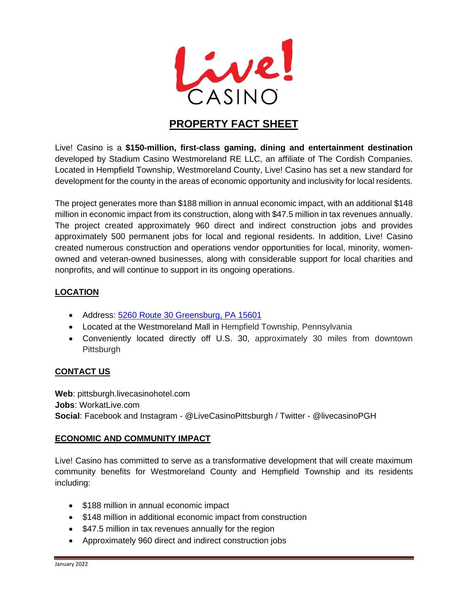

# **PROPERTY FACT SHEET**

Live! Casino is a **\$150-million, first-class gaming, dining and entertainment destination** developed by Stadium Casino Westmoreland RE LLC, an affiliate of The Cordish Companies. Located in Hempfield Township, Westmoreland County, Live! Casino has set a new standard for development for the county in the areas of economic opportunity and inclusivity for local residents.

The project generates more than \$188 million in annual economic impact, with an additional \$148 million in economic impact from its construction, along with \$47.5 million in tax revenues annually. The project created approximately 960 direct and indirect construction jobs and provides approximately 500 permanent jobs for local and regional residents. In addition, Live! Casino created numerous construction and operations vendor opportunities for local, minority, womenowned and veteran-owned businesses, along with considerable support for local charities and nonprofits, and will continue to support in its ongoing operations.

# **LOCATION**

- Address: [5260 Route 30 Greensburg, PA 15601](https://www.google.com/maps/dir/?api=1&destination=5260%20Route%2030%20Greensburg,%20PA%2015601)
- Located at the Westmoreland Mall in Hempfield Township, Pennsylvania
- Conveniently located directly off U.S. 30, approximately 30 miles from downtown **Pittsburgh**

# **CONTACT US**

**Web**: pittsburgh.livecasinohotel.com **Jobs**: WorkatLive.com **Social**: Facebook and Instagram - @LiveCasinoPittsburgh / Twitter - @livecasinoPGH

## **ECONOMIC AND COMMUNITY IMPACT**

Live! Casino has committed to serve as a transformative development that will create maximum community benefits for Westmoreland County and Hempfield Township and its residents including:

- \$188 million in annual economic impact
- \$148 million in additional economic impact from construction
- \$47.5 million in tax revenues annually for the region
- Approximately 960 direct and indirect construction jobs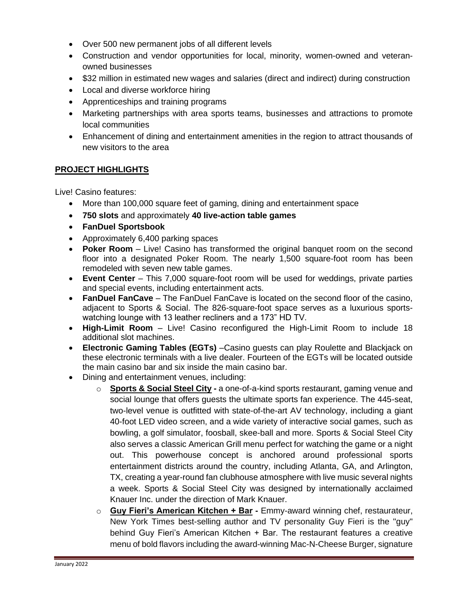- Over 500 new permanent jobs of all different levels
- Construction and vendor opportunities for local, minority, women-owned and veteranowned businesses
- \$32 million in estimated new wages and salaries (direct and indirect) during construction
- Local and diverse workforce hiring
- Apprenticeships and training programs
- Marketing partnerships with area sports teams, businesses and attractions to promote local communities
- Enhancement of dining and entertainment amenities in the region to attract thousands of new visitors to the area

# **PROJECT HIGHLIGHTS**

Live! Casino features:

- More than 100,000 square feet of gaming, dining and entertainment space
- **750 slots** and approximately **40 live-action table games**
- **FanDuel Sportsbook**
- Approximately 6,400 parking spaces
- **Poker Room** Live! Casino has transformed the original banquet room on the second floor into a designated Poker Room. The nearly 1,500 square-foot room has been remodeled with seven new table games.
- **Event Center** This 7,000 square-foot room will be used for weddings, private parties and special events, including entertainment acts.
- **FanDuel FanCave** The FanDuel FanCave is located on the second floor of the casino, adjacent to Sports & Social. The 826-square-foot space serves as a luxurious sportswatching lounge with 13 leather recliners and a 173" HD TV.
- **High-Limit Room** Live! Casino reconfigured the High-Limit Room to include 18 additional slot machines.
- **Electronic Gaming Tables (EGTs)** –Casino guests can play Roulette and Blackjack on these electronic terminals with a live dealer. Fourteen of the EGTs will be located outside the main casino bar and six inside the main casino bar.
- Dining and entertainment venues, including:
	- o **Sports & Social Steel City -** a one-of-a-kind sports restaurant, gaming venue and social lounge that offers guests the ultimate sports fan experience. The 445-seat, two-level venue is outfitted with state-of-the-art AV technology, including a giant 40-foot LED video screen, and a wide variety of interactive social games, such as bowling, a golf simulator, foosball, skee-ball and more. Sports & Social Steel City also serves a classic American Grill menu perfect for watching the game or a night out. This powerhouse concept is anchored around professional sports entertainment districts around the country, including Atlanta, GA, and Arlington, TX, creating a year-round fan clubhouse atmosphere with live music several nights a week. Sports & Social Steel City was designed by internationally acclaimed Knauer Inc. under the direction of Mark Knauer.
	- o **Guy Fieri's American Kitchen + Bar -** Emmy-award winning chef, restaurateur, New York Times best-selling author and TV personality Guy Fieri is the "guy" behind Guy Fieri's American Kitchen + Bar. The restaurant features a creative menu of bold flavors including the award-winning Mac-N-Cheese Burger, signature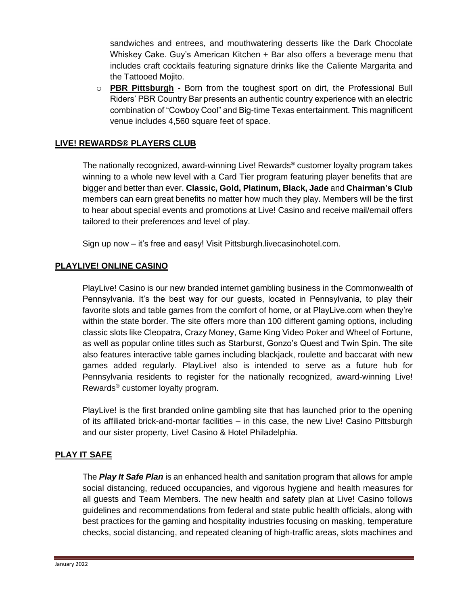sandwiches and entrees, and mouthwatering desserts like the Dark Chocolate Whiskey Cake. Guy's American Kitchen + Bar also offers a beverage menu that includes craft cocktails featuring signature drinks like the Caliente Margarita and the Tattooed Mojito.

o **PBR Pittsburgh -** Born from the toughest sport on dirt, the Professional Bull Riders' PBR Country Bar presents an authentic country experience with an electric combination of "Cowboy Cool" and Big-time Texas entertainment. This magnificent venue includes 4,560 square feet of space.

# **LIVE! REWARDS® PLAYERS CLUB**

The nationally recognized, award-winning Live! Rewards® customer loyalty program takes winning to a whole new level with a Card Tier program featuring player benefits that are bigger and better than ever. **Classic, Gold, Platinum, Black, Jade** and **Chairman's Club**  members can earn great benefits no matter how much they play. Members will be the first to hear about special events and promotions at Live! Casino and receive mail/email offers tailored to their preferences and level of play.

Sign up now – it's free and easy! Visit Pittsburgh.livecasinohotel.com.

## **PLAYLIVE! ONLINE CASINO**

PlayLive! Casino is our new branded internet gambling business in the Commonwealth of Pennsylvania. It's the best way for our guests, located in Pennsylvania, to play their favorite slots and table games from the comfort of home, or at PlayLive.com when they're within the state border. The site offers more than 100 different gaming options, including classic slots like Cleopatra, Crazy Money, Game King Video Poker and Wheel of Fortune, as well as popular online titles such as Starburst, Gonzo's Quest and Twin Spin. The site also features interactive table games including blackjack, roulette and baccarat with new games added regularly. PlayLive! also is intended to serve as a future hub for Pennsylvania residents to register for the nationally recognized, award-winning Live! Rewards® customer loyalty program.

PlayLive! is the first branded online gambling site that has launched prior to the opening of its affiliated brick-and-mortar facilities – in this case, the new Live! Casino Pittsburgh and our sister property, Live! Casino & Hotel Philadelphia.

## **PLAY IT SAFE**

The *Play It Safe Plan* is an enhanced health and sanitation program that allows for ample social distancing, reduced occupancies, and vigorous hygiene and health measures for all guests and Team Members. The new health and safety plan at Live! Casino follows guidelines and recommendations from federal and state public health officials, along with best practices for the gaming and hospitality industries focusing on masking, temperature checks, social distancing, and repeated cleaning of high-traffic areas, slots machines and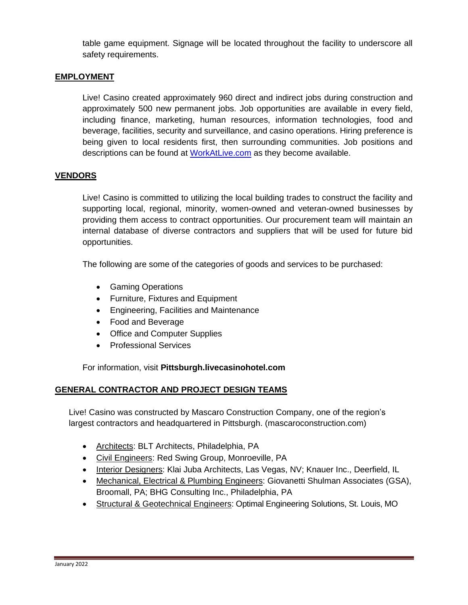table game equipment. Signage will be located throughout the facility to underscore all safety requirements.

## **EMPLOYMENT**

Live! Casino created approximately 960 direct and indirect jobs during construction and approximately 500 new permanent jobs. Job opportunities are available in every field, including finance, marketing, human resources, information technologies, food and beverage, facilities, security and surveillance, and casino operations. Hiring preference is being given to local residents first, then surrounding communities. Job positions and descriptions can be found at [WorkAtLive.com](http://www.workatlive.com/) as they become available.

## **VENDORS**

Live! Casino is committed to utilizing the local building trades to construct the facility and supporting local, regional, minority, women-owned and veteran-owned businesses by providing them access to contract opportunities. Our procurement team will maintain an internal database of diverse contractors and suppliers that will be used for future bid opportunities.

The following are some of the categories of goods and services to be purchased:

- Gaming Operations
- Furniture, Fixtures and Equipment
- Engineering, Facilities and Maintenance
- Food and Beverage
- Office and Computer Supplies
- Professional Services

For information, visit **Pittsburgh.livecasinohotel.com** 

## **GENERAL CONTRACTOR AND PROJECT DESIGN TEAMS**

Live! Casino was constructed by Mascaro Construction Company, one of the region's largest contractors and headquartered in Pittsburgh. (mascaroconstruction.com)

- Architects: BLT Architects, Philadelphia, PA
- Civil Engineers: Red Swing Group, Monroeville, PA
- Interior Designers: Klai Juba Architects, Las Vegas, NV; Knauer Inc., Deerfield, IL
- Mechanical, Electrical & Plumbing Engineers: Giovanetti Shulman Associates (GSA), Broomall, PA; BHG Consulting Inc., Philadelphia, PA
- Structural & Geotechnical Engineers: Optimal Engineering Solutions, St. Louis, MO